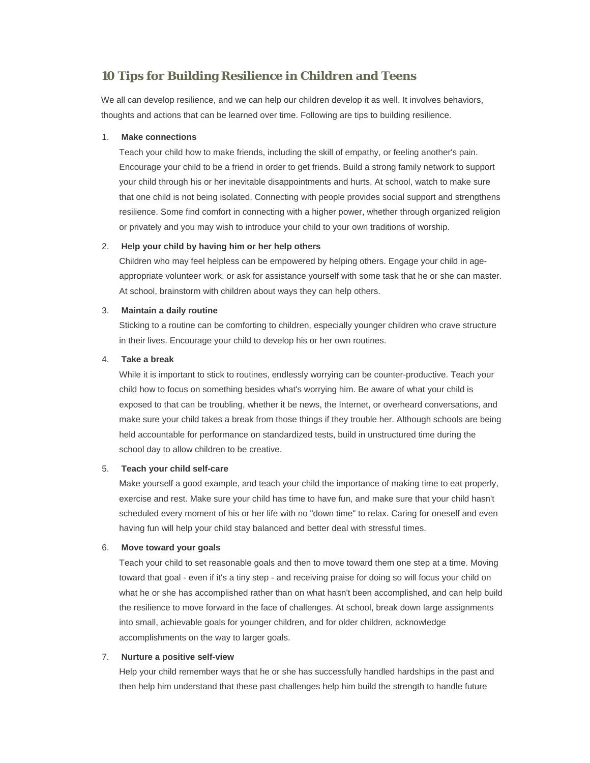# **10 Tips for Building Resilience in Children and Teens**

We all can develop resilience, and we can help our children develop it as well. It involves behaviors, thoughts and actions that can be learned over time. Following are tips to building resilience.

#### 1. **Make connections**

Teach your child how to make friends, including the skill of empathy, or feeling another's pain. Encourage your child to be a friend in order to get friends. Build a strong family network to support your child through his or her inevitable disappointments and hurts. At school, watch to make sure that one child is not being isolated. Connecting with people provides social support and strengthens resilience. Some find comfort in connecting with a higher power, whether through organized religion or privately and you may wish to introduce your child to your own traditions of worship.

#### 2. **Help your child by having him or her help others**

Children who may feel helpless can be empowered by helping others. Engage your child in ageappropriate volunteer work, or ask for assistance yourself with some task that he or she can master. At school, brainstorm with children about ways they can help others.

#### 3. **Maintain a daily routine**

Sticking to a routine can be comforting to children, especially younger children who crave structure in their lives. Encourage your child to develop his or her own routines.

## 4. **Take a break**

While it is important to stick to routines, endlessly worrying can be counter-productive. Teach your child how to focus on something besides what's worrying him. Be aware of what your child is exposed to that can be troubling, whether it be news, the Internet, or overheard conversations, and make sure your child takes a break from those things if they trouble her. Although schools are being held accountable for performance on standardized tests, build in unstructured time during the school day to allow children to be creative.

#### 5. **Teach your child self-care**

Make yourself a good example, and teach your child the importance of making time to eat properly, exercise and rest. Make sure your child has time to have fun, and make sure that your child hasn't scheduled every moment of his or her life with no "down time" to relax. Caring for oneself and even having fun will help your child stay balanced and better deal with stressful times.

### 6. **Move toward your goals**

Teach your child to set reasonable goals and then to move toward them one step at a time. Moving toward that goal - even if it's a tiny step - and receiving praise for doing so will focus your child on what he or she has accomplished rather than on what hasn't been accomplished, and can help build the resilience to move forward in the face of challenges. At school, break down large assignments into small, achievable goals for younger children, and for older children, acknowledge accomplishments on the way to larger goals.

#### 7. **Nurture a positive self-view**

Help your child remember ways that he or she has successfully handled hardships in the past and then help him understand that these past challenges help him build the strength to handle future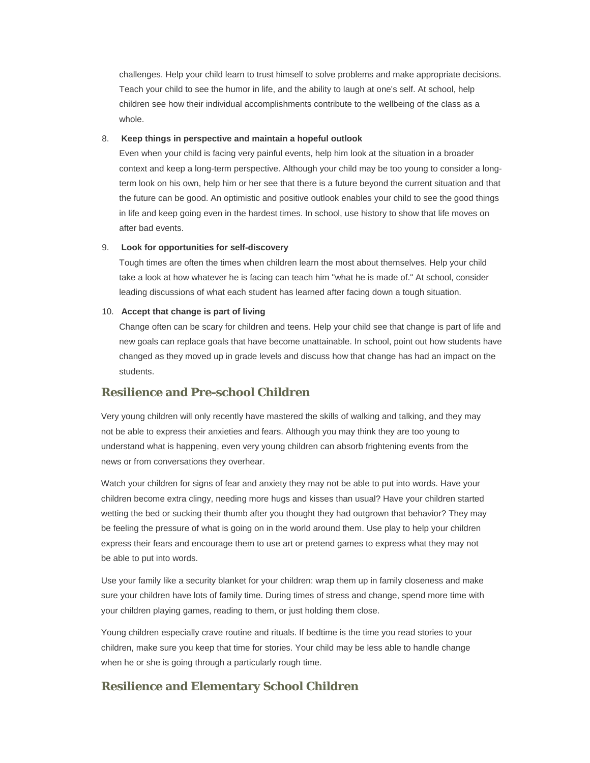challenges. Help your child learn to trust himself to solve problems and make appropriate decisions. Teach your child to see the humor in life, and the ability to laugh at one's self. At school, help children see how their individual accomplishments contribute to the wellbeing of the class as a whole.

### 8. **Keep things in perspective and maintain a hopeful outlook**

Even when your child is facing very painful events, help him look at the situation in a broader context and keep a long-term perspective. Although your child may be too young to consider a longterm look on his own, help him or her see that there is a future beyond the current situation and that the future can be good. An optimistic and positive outlook enables your child to see the good things in life and keep going even in the hardest times. In school, use history to show that life moves on after bad events.

## 9. **Look for opportunities for self-discovery**

Tough times are often the times when children learn the most about themselves. Help your child take a look at how whatever he is facing can teach him "what he is made of." At school, consider leading discussions of what each student has learned after facing down a tough situation.

## 10. **Accept that change is part of living**

Change often can be scary for children and teens. Help your child see that change is part of life and new goals can replace goals that have become unattainable. In school, point out how students have changed as they moved up in grade levels and discuss how that change has had an impact on the students.

# **Resilience and Pre-school Children**

Very young children will only recently have mastered the skills of walking and talking, and they may not be able to express their anxieties and fears. Although you may think they are too young to understand what is happening, even very young children can absorb frightening events from the news or from conversations they overhear.

Watch your children for signs of fear and anxiety they may not be able to put into words. Have your children become extra clingy, needing more hugs and kisses than usual? Have your children started wetting the bed or sucking their thumb after you thought they had outgrown that behavior? They may be feeling the pressure of what is going on in the world around them. Use play to help your children express their fears and encourage them to use art or pretend games to express what they may not be able to put into words.

Use your family like a security blanket for your children: wrap them up in family closeness and make sure your children have lots of family time. During times of stress and change, spend more time with your children playing games, reading to them, or just holding them close.

Young children especially crave routine and rituals. If bedtime is the time you read stories to your children, make sure you keep that time for stories. Your child may be less able to handle change when he or she is going through a particularly rough time.

# **Resilience and Elementary School Children**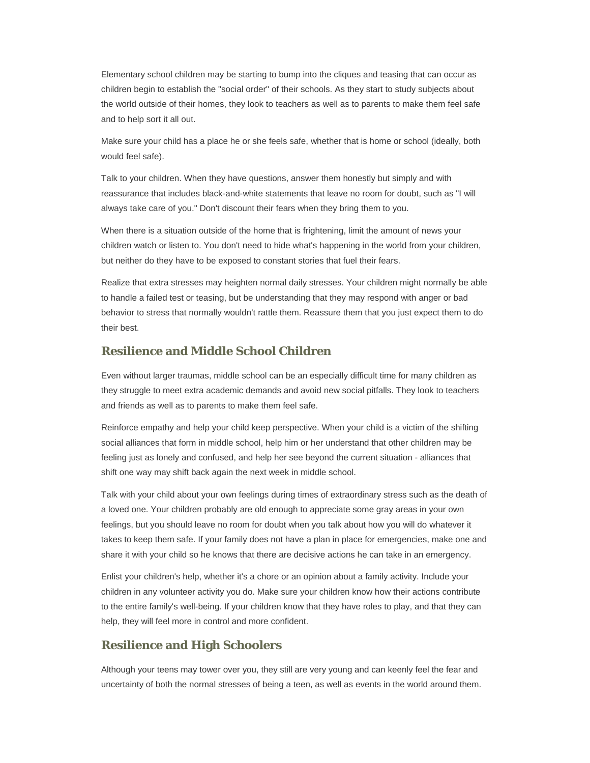Elementary school children may be starting to bump into the cliques and teasing that can occur as children begin to establish the "social order" of their schools. As they start to study subjects about the world outside of their homes, they look to teachers as well as to parents to make them feel safe and to help sort it all out.

Make sure your child has a place he or she feels safe, whether that is home or school (ideally, both would feel safe).

Talk to your children. When they have questions, answer them honestly but simply and with reassurance that includes black-and-white statements that leave no room for doubt, such as "I will always take care of you." Don't discount their fears when they bring them to you.

When there is a situation outside of the home that is frightening, limit the amount of news your children watch or listen to. You don't need to hide what's happening in the world from your children, but neither do they have to be exposed to constant stories that fuel their fears.

Realize that extra stresses may heighten normal daily stresses. Your children might normally be able to handle a failed test or teasing, but be understanding that they may respond with anger or bad behavior to stress that normally wouldn't rattle them. Reassure them that you just expect them to do their best.

# **Resilience and Middle School Children**

Even without larger traumas, middle school can be an especially difficult time for many children as they struggle to meet extra academic demands and avoid new social pitfalls. They look to teachers and friends as well as to parents to make them feel safe.

Reinforce empathy and help your child keep perspective. When your child is a victim of the shifting social alliances that form in middle school, help him or her understand that other children may be feeling just as lonely and confused, and help her see beyond the current situation - alliances that shift one way may shift back again the next week in middle school.

Talk with your child about your own feelings during times of extraordinary stress such as the death of a loved one. Your children probably are old enough to appreciate some gray areas in your own feelings, but you should leave no room for doubt when you talk about how you will do whatever it takes to keep them safe. If your family does not have a plan in place for emergencies, make one and share it with your child so he knows that there are decisive actions he can take in an emergency.

Enlist your children's help, whether it's a chore or an opinion about a family activity. Include your children in any volunteer activity you do. Make sure your children know how their actions contribute to the entire family's well-being. If your children know that they have roles to play, and that they can help, they will feel more in control and more confident.

# **Resilience and High Schoolers**

Although your teens may tower over you, they still are very young and can keenly feel the fear and uncertainty of both the normal stresses of being a teen, as well as events in the world around them.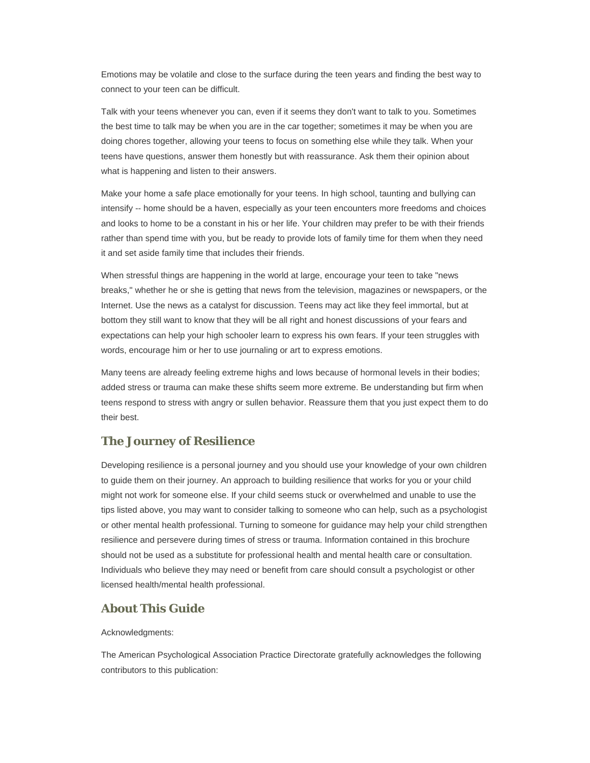Emotions may be volatile and close to the surface during the teen years and finding the best way to connect to your teen can be difficult.

Talk with your teens whenever you can, even if it seems they don't want to talk to you. Sometimes the best time to talk may be when you are in the car together; sometimes it may be when you are doing chores together, allowing your teens to focus on something else while they talk. When your teens have questions, answer them honestly but with reassurance. Ask them their opinion about what is happening and listen to their answers.

Make your home a safe place emotionally for your teens. In high school, taunting and bullying can intensify -- home should be a haven, especially as your teen encounters more freedoms and choices and looks to home to be a constant in his or her life. Your children may prefer to be with their friends rather than spend time with you, but be ready to provide lots of family time for them when they need it and set aside family time that includes their friends.

When stressful things are happening in the world at large, encourage your teen to take "news breaks," whether he or she is getting that news from the television, magazines or newspapers, or the Internet. Use the news as a catalyst for discussion. Teens may act like they feel immortal, but at bottom they still want to know that they will be all right and honest discussions of your fears and expectations can help your high schooler learn to express his own fears. If your teen struggles with words, encourage him or her to use journaling or art to express emotions.

Many teens are already feeling extreme highs and lows because of hormonal levels in their bodies; added stress or trauma can make these shifts seem more extreme. Be understanding but firm when teens respond to stress with angry or sullen behavior. Reassure them that you just expect them to do their best.

## **The Journey of Resilience**

Developing resilience is a personal journey and you should use your knowledge of your own children to guide them on their journey. An approach to building resilience that works for you or your child might not work for someone else. If your child seems stuck or overwhelmed and unable to use the tips listed above, you may want to consider talking to someone who can help, such as a psychologist or other mental health professional. Turning to someone for guidance may help your child strengthen resilience and persevere during times of stress or trauma. Information contained in this brochure should not be used as a substitute for professional health and mental health care or consultation. Individuals who believe they may need or benefit from care should consult a psychologist or other licensed health/mental health professional.

## **About This Guide**

### Acknowledgments:

The American Psychological Association Practice Directorate gratefully acknowledges the following contributors to this publication: